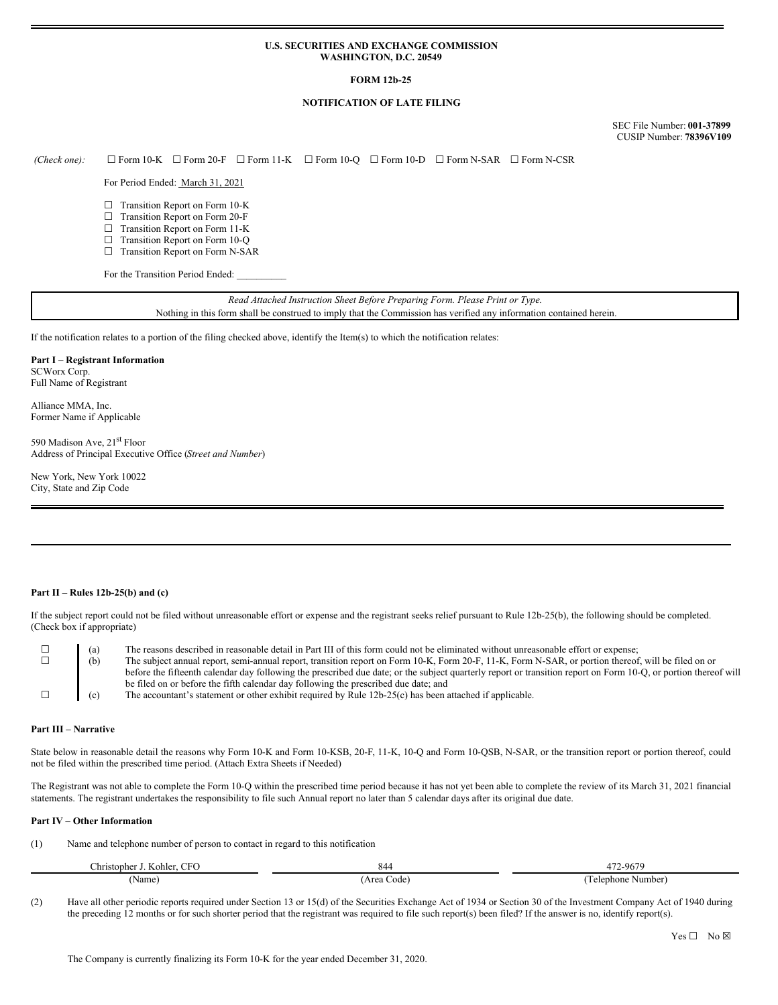### **U.S. SECURITIES AND EXCHANGE COMMISSION WASHINGTON, D.C. 20549**

## **FORM 12b-25**

# **NOTIFICATION OF LATE FILING**

SEC File Number: **001-37899** CUSIP Number: **78396V109**

*(Check one):* ☐ Form 10-K ☐ Form 20-F ☐ Form 11-K ☐ Form 10-Q ☐ Form 10-D ☐ Form N-SAR ☐ Form N-CSR

For Period Ended: March 31, 2021

- □ Transition Report on Form 10-K
- ☐ Transition Report on Form 20-F
- ☐ Transition Report on Form 11-K
- □ Transition Report on Form 10-Q ☐ Transition Report on Form N-SAR

For the Transition Period Ended:

*Read Attached Instruction Sheet Before Preparing Form. Please Print or Type.* Nothing in this form shall be construed to imply that the Commission has verified any information contained herein.

If the notification relates to a portion of the filing checked above, identify the Item(s) to which the notification relates:

### **Part I – Registrant Information**

SCWorx Corp. Full Name of Registrant

Alliance MMA, Inc. Former Name if Applicable

590 Madison Ave, 21<sup>st</sup> Floor Address of Principal Executive Office (*Street and Number*)

New York, New York 10022 City, State and Zip Code

## **Part II – Rules 12b-25(b) and (c)**

If the subject report could not be filed without unreasonable effort or expense and the registrant seeks relief pursuant to Rule 12b-25(b), the following should be completed. (Check box if appropriate)

| (a) | The reasons described in reasonable detail in Part III of this form could not be eliminated without unreasonable effort or expense;                             |  |
|-----|-----------------------------------------------------------------------------------------------------------------------------------------------------------------|--|
| (b) | The subject annual report, semi-annual report, transition report on Form 10-K, Form 20-F, 11-K, Form N-SAR, or portion thereof, will be filed on or             |  |
|     | before the fifteenth calendar day following the prescribed due date; or the subject quarterly report or transition report on Form 10-Q, or portion thereof will |  |
|     | be filed on or before the fifth calendar day following the prescribed due date; and                                                                             |  |
| (c) | The accountant's statement or other exhibit required by Rule 12b-25(c) has been attached if applicable.                                                         |  |

#### **Part III – Narrative**

State below in reasonable detail the reasons why Form 10-K and Form 10-KSB, 20-F, 11-K, 10-Q and Form 10-QSB, N-SAR, or the transition report or portion thereof, could not be filed within the prescribed time period. (Attach Extra Sheets if Needed)

The Registrant was not able to complete the Form 10-Q within the prescribed time period because it has not yet been able to complete the review of its March 31, 2021 financial statements. The registrant undertakes the responsibility to file such Annual report no later than 5 calendar days after its original due date.

#### **Part IV – Other Information**

(1) Name and telephone number of person to contact in regard to this notification

| <b>CFO</b><br>Christopher J<br>Kohler. | 844                 | 172-9679                 |
|----------------------------------------|---------------------|--------------------------|
| (Name)                                 | Code<br>Area (<br>. | 'elenhone<br>Number<br>. |

(2) Have all other periodic reports required under Section 13 or 15(d) of the Securities Exchange Act of 1934 or Section 30 of the Investment Company Act of 1940 during the preceding 12 months or for such shorter period that the registrant was required to file such report(s) been filed? If the answer is no, identify report(s).